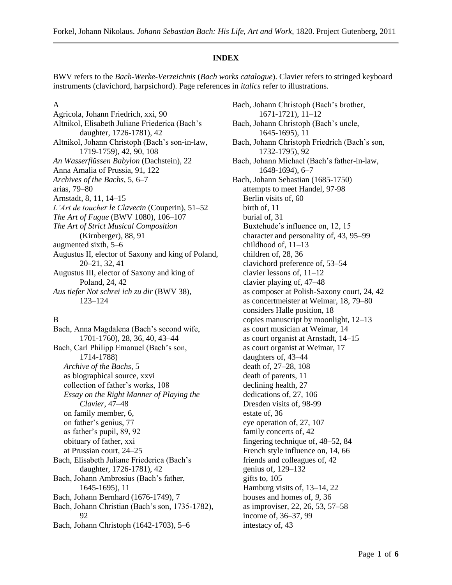#### **INDEX**

BWV refers to the *Bach-Werke-Verzeichnis* (*Bach works catalogue*). Clavier refers to stringed keyboard instruments (clavichord, harpsichord). Page references in *italics* refer to illustrations.

#### A

Agricola, Johann Friedrich, xxi, 90 Altnikol, Elisabeth Juliane Friederica (Bach's daughter, 1726-1781), 42 Altnikol, Johann Christoph (Bach's son-in-law, 1719-1759), 42, 90, 108 *An Wasserflüssen Babylon* (Dachstein), 22 Anna Amalia of Prussia, 91, 122 *Archives of the Bachs,* 5, 6–7 arias, 79–80 Arnstadt, 8, 11, 14–15 *L'Art de toucher le Clavecin* (Couperin), 51–52 *The Art of Fugue* (BWV 1080), 106–107 *The Art of Strict Musical Composition* (Kirnberger), 88, 91 augmented sixth, 5–6 Augustus II, elector of Saxony and king of Poland, 20–21, 32, 41 Augustus III, elector of Saxony and king of Poland, 24, 42 *Aus tiefer Not schrei ich zu dir* (BWV 38), 123–124

## B

Bach, Anna Magdalena (Bach's second wife, 1701-1760), 28, 36, 40, 43–44 Bach, Carl Philipp Emanuel (Bach's son, 1714-1788) *Archive of the Bachs,* 5 as biographical source, xxvi collection of father's works, 108 *Essay on the Right Manner of Playing the Clavier,* 47–48 on family member, 6, on father's genius, 77 as father's pupil, 89, 92 obituary of father, xxi at Prussian court, 24–25 Bach, Elisabeth Juliane Friederica (Bach's daughter, 1726-1781), 42 Bach, Johann Ambrosius (Bach's father, 1645-1695), 11 Bach, Johann Bernhard (1676-1749), 7 Bach, Johann Christian (Bach's son, 1735-1782), 92 Bach, Johann Christoph (1642-1703), 5–6

Bach, Johann Christoph (Bach's brother, 1671-1721), 11–12 Bach, Johann Christoph (Bach's uncle, 1645-1695), 11 Bach, Johann Christoph Friedrich (Bach's son, 1732-1795), 92 Bach, Johann Michael (Bach's father-in-law, 1648-1694), 6–7 Bach, Johann Sebastian (1685-1750) attempts to meet Handel, 97-98 Berlin visits of, 60 birth of, 11 burial of, 31 Buxtehude's influence on, 12, 15 character and personality of, 43, 95–99 childhood of, 11–13 children of, 28, 36 clavichord preference of, 53–54 clavier lessons of, 11–12 clavier playing of, 47–48 as composer at Polish-Saxony court, 24, 42 as concertmeister at Weimar, 18, 79–80 considers Halle position, 18 copies manuscript by moonlight, 12–13 as court musician at Weimar, 14 as court organist at Arnstadt, 14–15 as court organist at Weimar, 17 daughters of, 43–44 death of, 27–28, 108 death of parents, 11 declining health, 27 dedications of, 27, 106 Dresden visits of, 98-99 estate of, 36 eye operation of, 27, 107 family concerts of, 42 fingering technique of, 48–52, 84 French style influence on, 14, 66 friends and colleagues of, 42 genius of, 129–132 gifts to, 105 Hamburg visits of, 13–14, 22 houses and homes of, *9,* 36 as improviser, 22, 26, 53, 57–58 income of, 36–37, 99 intestacy of, 43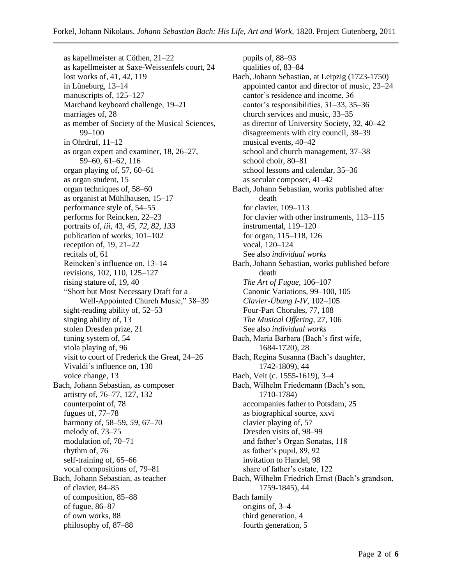as kapellmeister at Cöthen, 21–22 as kapellmeister at Saxe-Weissenfels court, 24 lost works of, 41, 42, 119 in Lüneburg, 13–14 manuscripts of, 125–127 Marchand keyboard challenge, 19–21 marriages of, 28 as member of Society of the Musical Sciences, 99–100 in Ohrdruf, 11–12 as organ expert and examiner, 18, 26–27, 59–60, 61–62, 116 organ playing of, 57, 60–61 as organ student, 15 organ techniques of, 58–60 as organist at Mühlhausen, 15–17 performance style of, 54–55 performs for Reincken, 22–23 portraits of, *iii,* 43, *45, 72, 82, 133* publication of works, 101–102 reception of, 19, 21–22 recitals of, 61 Reincken's influence on, 13–14 revisions, 102, 110, 125–127 rising stature of, 19, 40 "Short but Most Necessary Draft for a Well-Appointed Church Music," 38–39 sight-reading ability of, 52–53 singing ability of, 13 stolen Dresden prize, 21 tuning system of, 54 viola playing of, 96 visit to court of Frederick the Great, 24–26 Vivaldi's influence on, 130 voice change, 13 Bach, Johann Sebastian, as composer artistry of, 76–77, 127, 132 counterpoint of, 78 fugues of, 77–78 harmony of, 58–59, *59,* 67–70 melody of, 73–75 modulation of, 70–71 rhythm of, 76 self-training of, 65–66 vocal compositions of, 79–81 Bach, Johann Sebastian, as teacher of clavier, 84–85 of composition, 85–88 of fugue, 86–87 of own works, 88 philosophy of, 87–88

pupils of, 88–93 qualities of, 83–84 Bach, Johann Sebastian, at Leipzig (1723-1750) appointed cantor and director of music, 23–24 cantor's residence and income, 36 cantor's responsibilities, 31–33, 35–36 church services and music, 33–35 as director of University Society, 32, 40–42 disagreements with city council, 38–39 musical events, 40–42 school and church management, 37–38 school choir, 80–81 school lessons and calendar, 35–36 as secular composer, 41–42 Bach, Johann Sebastian, works published after death for clavier, 109–113 for clavier with other instruments, 113–115 instrumental, 119–120 for organ, 115–118, 126 vocal, 120–124 See also *individual works* Bach, Johann Sebastian, works published before death *The Art of Fugue,* 106–107 Canonic Variations, 99–100, 105 *Clavier-Übung I-IV,* 102–105 Four-Part Chorales, 77, 108 *The Musical Offering,* 27, 106 See also *individual works* Bach, Maria Barbara (Bach's first wife, 1684-1720), 28 Bach, Regina Susanna (Bach's daughter, 1742-1809), 44 Bach, Veit (c. 1555-1619), 3–4 Bach, Wilhelm Friedemann (Bach's son, 1710-1784) accompanies father to Potsdam, 25 as biographical source, xxvi clavier playing of, 57 Dresden visits of, 98–99 and father's Organ Sonatas, 118 as father's pupil, 89, 92 invitation to Handel, 98 share of father's estate, 122 Bach, Wilhelm Friedrich Ernst (Bach's grandson, 1759-1845), 44 Bach family origins of, 3–4 third generation, 4 fourth generation, 5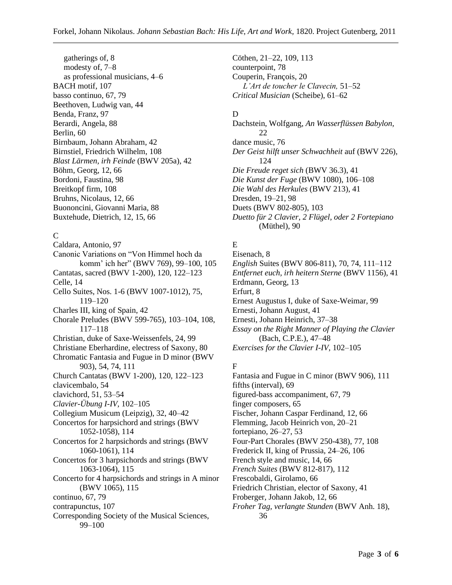gatherings of, 8 modesty of, 7–8 as professional musicians, 4–6 BACH motif, 107 basso continuo, 67, 79 Beethoven, Ludwig van, 44 Benda, Franz, 97 Berardi, Angela, 88 Berlin, 60 Birnbaum, Johann Abraham, 42 Birnstiel, Friedrich Wilhelm, 108 *Blast Lärmen, irh Feinde* (BWV 205a), 42 Böhm, Georg, 12, 66 Bordoni, Faustina, 98 Breitkopf firm, 108 Bruhns, Nicolaus, 12, 66 Buononcini, Giovanni Maria, 88 Buxtehude, Dietrich, 12, 15, 66

## $\mathcal{C}$

Caldara, Antonio, 97 Canonic Variations on "Von Himmel hoch da komm' ich her" (BWV 769), 99–100, 105 Cantatas, sacred (BWV 1-200), 120, 122–123 Celle, 14 Cello Suites, Nos. 1-6 (BWV 1007-1012), 75, 119–120 Charles III, king of Spain, 42 Chorale Preludes (BWV 599-765), 103–104, 108, 117–118 Christian, duke of Saxe-Weissenfels, 24, 99 Christiane Eberhardine, electress of Saxony, 80 Chromatic Fantasia and Fugue in D minor (BWV 903), 54, 74, 111 Church Cantatas (BWV 1-200), 120, 122–123 clavicembalo, 54 clavichord, 51, 53–54 *Clavier-Übung I-IV,* 102–105 Collegium Musicum (Leipzig), 32, 40–42 Concertos for harpsichord and strings (BWV 1052-1058), 114 Concertos for 2 harpsichords and strings (BWV 1060-1061), 114 Concertos for 3 harpsichords and strings (BWV 1063-1064), 115 Concerto for 4 harpsichords and strings in A minor (BWV 1065), 115 continuo, 67, 79 contrapunctus, 107 Corresponding Society of the Musical Sciences, 99–100

Cöthen, 21–22, 109, 113 counterpoint, 78 Couperin, François, 20 *L'Art de toucher le Clavecin,* 51–52 *Critical Musician* (Scheibe), 61–62

## D

Dachstein, Wolfgang, *An Wasserflüssen Babylon,* 22 dance music, 76 *Der Geist hilft unser Schwachheit* auf (BWV 226), 124 *Die Freude reget sich* (BWV 36.3), 41 *Die Kunst der Fuge* (BWV 1080), 106–108 *Die Wahl des Herkules* (BWV 213), 41 Dresden, 19–21, 98 Duets (BWV 802-805), 103 *Duetto für 2 Clavier, 2 Flügel, oder 2 Fortepiano* (Müthel), 90

## E

Eisenach, 8 *English* Suites (BWV 806-811), 70, 74, 111–112 *Entfernet euch, irh heitern Sterne* (BWV 1156), 41 Erdmann, Georg, 13 Erfurt, 8 Ernest Augustus I, duke of Saxe-Weimar, 99 Ernesti, Johann August, 41 Ernesti, Johann Heinrich, 37–38 *Essay on the Right Manner of Playing the Clavier* (Bach, C.P.E.), 47–48 *Exercises for the Clavier I-IV,* 102–105

# F

Fantasia and Fugue in C minor (BWV 906), 111 fifths (interval), 69 figured-bass accompaniment, 67, 79 finger composers, 65 Fischer, Johann Caspar Ferdinand, 12, 66 Flemming, Jacob Heinrich von, 20–21 fortepiano, 26–27, 53 Four-Part Chorales (BWV 250-438), 77, 108 Frederick II, king of Prussia, 24–26, 106 French style and music, 14, 66 *French Suites* (BWV 812-817), 112 Frescobaldi, Girolamo, 66 Friedrich Christian, elector of Saxony, 41 Froberger, Johann Jakob, 12, 66 *Froher Tag, verlangte Stunden* (BWV Anh. 18), 36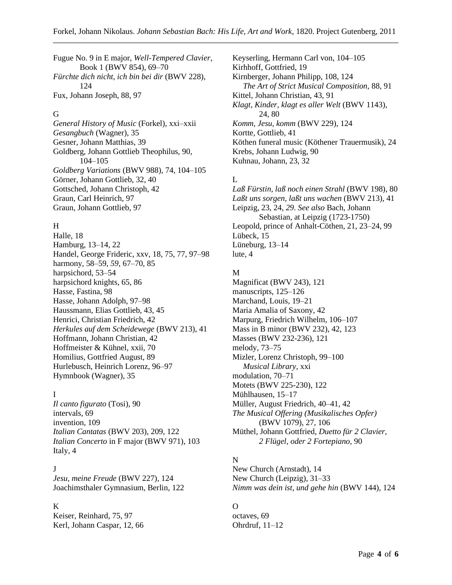Fugue No. 9 in E major, *Well-Tempered Clavier,* Book 1 (BWV 854), 69–70 *Fürchte dich nicht, ich bin bei dir* (BWV 228), 124 Fux, Johann Joseph, 88, 97

## G

*General History of Music* (Forkel), xxi–xxii *Gesangbuch* (Wagner), 35 Gesner, Johann Matthias, 39 Goldberg, Johann Gottlieb Theophilus, 90, 104–105 *Goldberg Variations* (BWV 988), 74, 104–105 Görner, Johann Gottlieb, 32, 40 Gottsched, Johann Christoph, 42 Graun, Carl Heinrich, 97 Graun, Johann Gottlieb, 97

## H

Halle, 18 Hamburg, 13–14, 22 Handel, George Frideric, xxv, 18, 75, 77, 97–98 harmony, 58–59, *59,* 67–70, 85 harpsichord, 53–54 harpsichord knights, 65, 86 Hasse, Fastina, 98 Hasse, Johann Adolph, 97–98 Haussmann, Elias Gottlieb, 43, 45 Henrici, Christian Friedrich, 42 *Herkules auf dem Scheidewege* (BWV 213), 41 Hoffmann, Johann Christian, 42 Hoffmeister & Kühnel, xxii, 70 Homilius, Gottfried August, 89 Hurlebusch, Heinrich Lorenz, 96–97 Hymnbook (Wagner), 35

## I

*Il canto figurato* (Tosi), 90 intervals, 69 invention, 109 *Italian Cantatas* (BWV 203), 209, 122 *Italian Concerto* in F major (BWV 971), 103 Italy, 4

#### J

*Jesu, meine Freude* (BWV 227), 124 Joachimsthaler Gymnasium, Berlin, 122

#### K

Keiser, Reinhard, 75, 97 Kerl, Johann Caspar, 12, 66 Keyserling, Hermann Carl von, 104–105 Kirhhoff, Gottfried, 19 Kirnberger, Johann Philipp, 108, 124 *The Art of Strict Musical Composition,* 88, 91 Kittel, Johann Christian, 43, 91 *Klagt, Kinder, klagt es aller Welt* (BWV 1143), 24, 80 *Komm, Jesu, komm* (BWV 229), 124 Kortte, Gottlieb, 41 Köthen funeral music (Köthener Trauermusik), 24 Krebs, Johann Ludwig, 90 Kuhnau, Johann, 23, 32

## L

*Laß Fürstin, laß noch einen Strahl* (BWV 198), 80 *Laßt uns sorgen, laßt uns wachen* (BWV 213), 41 Leipzig, 23, 24, *29*. *See also* Bach, Johann Sebastian, at Leipzig (1723-1750) Leopold, prince of Anhalt-Cöthen, 21, 23–24, 99 Lübeck, 15 Lüneburg, 13–14 lute, 4

#### M

Magnificat (BWV 243), 121 manuscripts, 125–126 Marchand, Louis, 19–21 Maria Amalia of Saxony, 42 Marpurg, Friedrich Wilhelm, 106–107 Mass in B minor (BWV 232), 42, 123 Masses (BWV 232-236), 121 melody, 73–75 Mizler, Lorenz Christoph, 99–100 *Musical Library,* xxi modulation, 70–71 Motets (BWV 225-230), 122 Mühlhausen, 15–17 Müller, August Friedrich, 40–41, 42 *The Musical Offering (Musikalisches Opfer)* (BWV 1079), 27, 106 Müthel, Johann Gottfried, *Duetto für 2 Clavier, 2 Flügel, oder 2 Fortepiano,* 90

## N

New Church (Arnstadt), 14 New Church (Leipzig), 31–33 *Nimm was dein ist, und gehe hin* (BWV 144), 124

## $\Omega$

octaves, 69 Ohrdruf, 11–12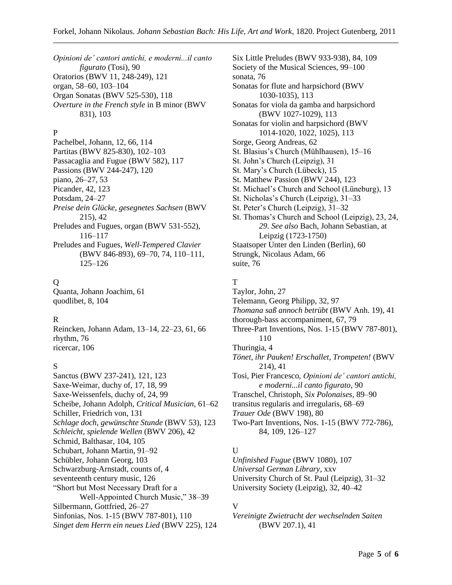*Opinioni de' cantori antichi, e moderni...il canto figurato* (Tosi), 90 Oratorios (BWV 11, 248-249), 121 organ, 58–60, 103–104 Organ Sonatas (BWV 525-530), 118 *Overture in the French style* in B minor (BWV 831), 103

#### P

Pachelbel, Johann, 12, 66, 114 Partitas (BWV 825-830), 102–103 Passacaglia and Fugue (BWV 582), 117 Passions (BWV 244-247), 120 piano, 26–27, 53 Picander, 42, 123 Potsdam, 24–27 *Preise dein Glücke, gesegnetes Sachsen* (BWV 215), 42 Preludes and Fugues, organ (BWV 531-552), 116–117 Preludes and Fugues, *Well-Tempered Clavier* (BWV 846-893), 69–70, 74, 110–111, 125–126

## $\Omega$

Quanta, Johann Joachim, 61 quodlibet, 8, 104

## R

Reincken, Johann Adam, 13–14, 22–23, 61, 66 rhythm, 76 ricercar, 106

## S

Sanctus (BWV 237-241), 121, 123 Saxe-Weimar, duchy of, 17, 18, 99 Saxe-Weissenfels, duchy of, 24, 99 Scheibe, Johann Adolph, *Critical Musician,* 61–62 Schiller, Friedrich von, 131 *Schlage doch, gewünschte Stunde* (BWV 53), 123 *Schleicht, spielende Wellen* (BWV 206), 42 Schmid, Balthasar, 104, 105 Schubart, Johann Martin, 91–92 Schübler, Johann Georg, 103 Schwarzburg-Arnstadt, counts of, 4 seventeenth century music, 126 "Short but Most Necessary Draft for a Well-Appointed Church Music," 38–39 Silbermann, Gottfried, 26–27 Sinfonias, Nos. 1-15 (BWV 787-801), 110 *Singet dem Herrn ein neues Lied* (BWV 225), 124

Six Little Preludes (BWV 933-938), 84, 109 Society of the Musical Sciences, 99–100 sonata, 76 Sonatas for flute and harpsichord (BWV 1030-1035), 113 Sonatas for viola da gamba and harpsichord (BWV 1027-1029), 113 Sonatas for violin and harpsichord (BWV 1014-1020, 1022, 1025), 113 Sorge, Georg Andreas, 62 St. Blasius's Church (Mühlhausen), 15–16 St. John's Church (Leipzig), 31 St. Mary's Church (Lübeck), 15 St. Matthew Passion (BWV 244), 123 St. Michael's Church and School (Lüneburg), 13 St. Nicholas's Church (Leipzig), 31–33 St. Peter's Church (Leipzig), 31–32 St. Thomas's Church and School (Leipzig), 23, 24, *29*. *See also* Bach, Johann Sebastian, at Leipzig (1723-1750) Staatsoper Unter den Linden (Berlin), 60 Strungk, Nicolaus Adam, 66 suite, 76

## T

Taylor, John, 27 Telemann, Georg Philipp, 32, 97 *Thomana saß annoch betrübt* (BWV Anh. 19), 41 thorough-bass accompaniment, 67, 79 Three-Part Inventions, Nos. 1-15 (BWV 787-801), 110 Thuringia, 4 *Tönet, ihr Pauken! Erschallet, Trompeten!* (BWV 214), 41 Tosi, Pier Francesco, *Opinioni de' cantori antichi, e moderni...il canto figurato,* 90 Transchel, Christoph, *Six Polonaises,* 89–90 transitus regularis and irregularis, 68–69 *Trauer Ode* (BWV 198), 80 Two-Part Inventions, Nos. 1-15 (BWV 772-786), 84, 109, 126–127

## U

*Unfinished Fugue* (BWV 1080), 107 *Universal German Library,* xxv University Church of St. Paul (Leipzig), 31–32 University Society (Leipzig), 32, 40–42

## V

*Vereinigte Zwietracht der wechselnden Saiten* (BWV 207.1), 41